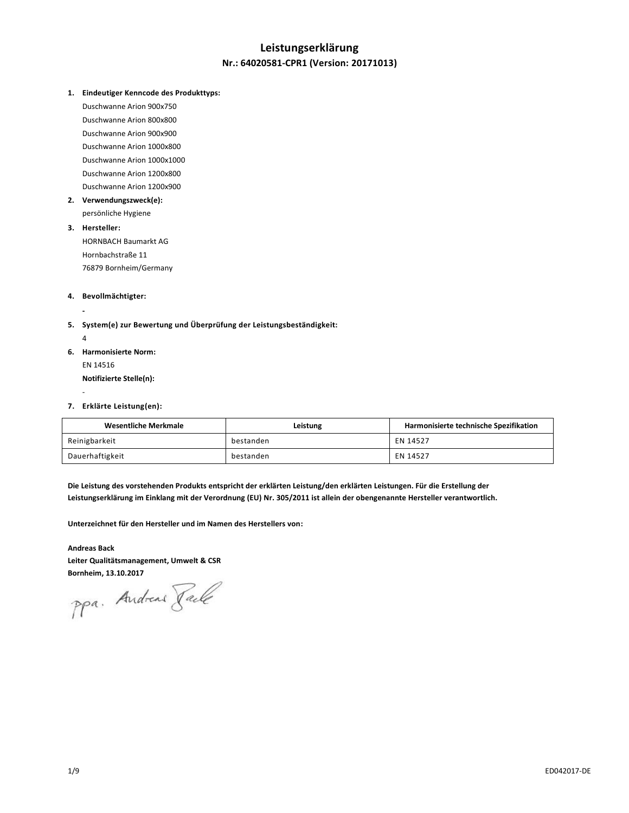# **Leistungserklärung Nr.: 64020581-CPR1 (Version: 20171013)**

**1. Eindeutiger Kenncode des Produkttyps:**

Duschwanne Arion 900x750 Duschwanne Arion 800x800 Duschwanne Arion 900x900 Duschwanne Arion 1000x800 Duschwanne Arion 1000x1000 Duschwanne Arion 1200x800 Duschwanne Arion 1200x900

**2. Verwendungszweck(e):**

persönliche Hygiene

# **3. Hersteller:**

HORNBACH Baumarkt AG Hornbachstraße 11 76879 Bornheim/Germany

#### **4. Bevollmächtigter:**

**-**

-

- **5. System(e) zur Bewertung und Überprüfung der Leistungsbeständigkeit:**  $\lambda$
- **6. Harmonisierte Norm:** EN 14516 **Notifizierte Stelle(n):**
- **7. Erklärte Leistung(en):**

| <b>Wesentliche Merkmale</b> | Leistung  | Harmonisierte technische Spezifikation |
|-----------------------------|-----------|----------------------------------------|
| Reinigbarkeit               | bestanden | EN 14527                               |
| Dauerhaftigkeit             | bestanden | EN 14527                               |

**Die Leistung des vorstehenden Produkts entspricht der erklärten Leistung/den erklärten Leistungen. Für die Erstellung der Leistungserklärung im Einklang mit der Verordnung (EU) Nr. 305/2011 ist allein der obengenannte Hersteller verantwortlich.**

**Unterzeichnet für den Hersteller und im Namen des Herstellers von:**

**Andreas Back Leiter Qualitätsmanagement, Umwelt & CSR**

Bornheim, 13.10.2017<br>PPa. Andread *Jale*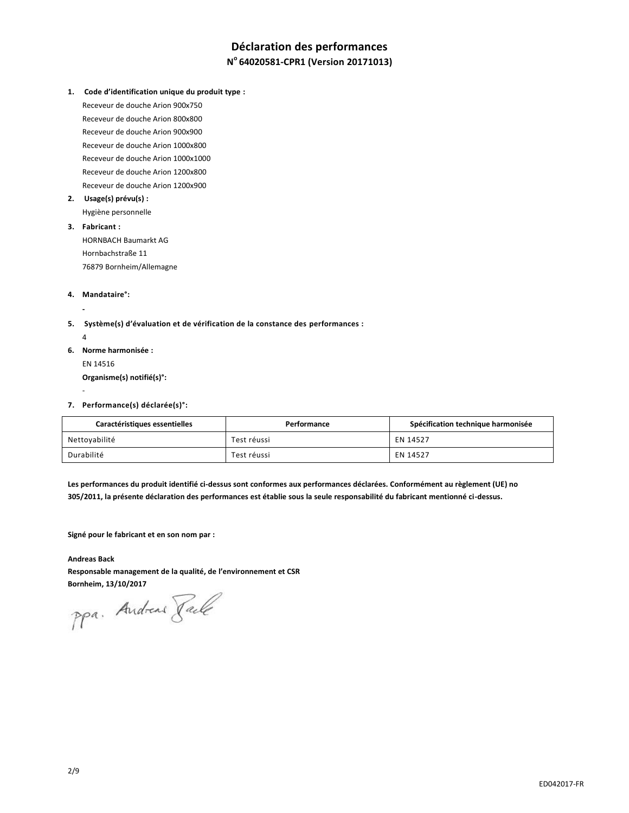# **Déclaration des performances N <sup>o</sup>64020581-CPR1 (Version 20171013)**

**1. Code d'identification unique du produit type :**

Receveur de douche Arion 900x750 Receveur de douche Arion 800x800 Receveur de douche Arion 900x900 Receveur de douche Arion 1000x800 Receveur de douche Arion 1000x1000 Receveur de douche Arion 1200x800 Receveur de douche Arion 1200x900

**2. Usage(s) prévu(s) :**

Hygiène personnelle

- **3. Fabricant :** HORNBACH Baumarkt AG Hornbachstraße 11 76879 Bornheim/Allemagne
- **4. Mandataire°:**

**-**

-

- **5. Système(s) d'évaluation et de vérification de la constance des performances :** 4
- **6. Norme harmonisée :** EN 14516 **Organisme(s) notifié(s)°:**
- **7. Performance(s) déclarée(s)°:**

| Caractéristiques essentielles | Performance | Spécification technique harmonisée |
|-------------------------------|-------------|------------------------------------|
| Nettoyabilité                 | Test réussi | EN 14527                           |
| Durabilité                    | Test réussi | EN 14527                           |

**Les performances du produit identifié ci-dessus sont conformes aux performances déclarées. Conformément au règlement (UE) no 305/2011, la présente déclaration des performances est établie sous la seule responsabilité du fabricant mentionné ci-dessus.**

**Signé pour le fabricant et en son nom par :**

#### **Andreas Back**

**Responsable management de la qualité, de l'environnement et CSR**

Bornheim, 13/10/2017<br>PPa. Andread *Jack*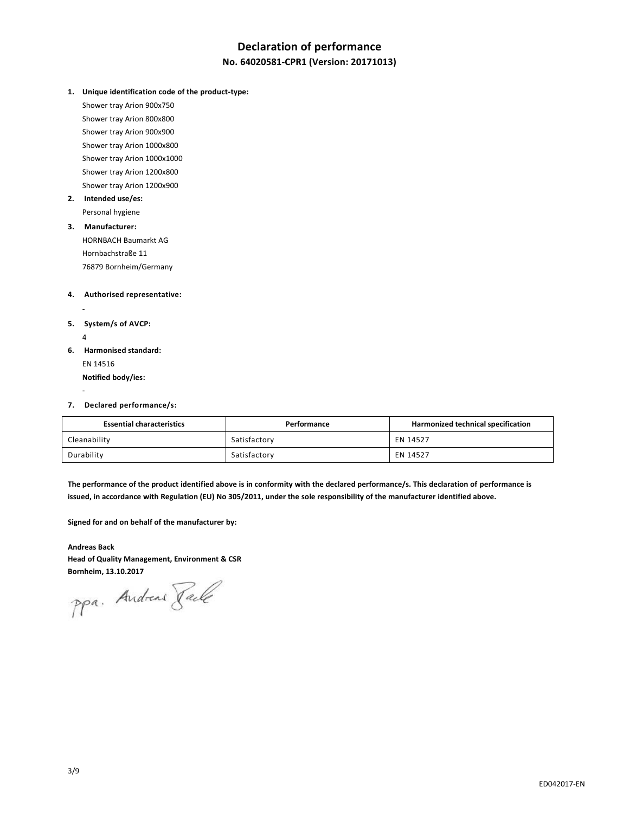# **Declaration of performance**

## **No. 64020581-CPR1 (Version: 20171013)**

**1. Unique identification code of the product-type:**

Shower tray Arion 900x750 Shower tray Arion 800x800 Shower tray Arion 900x900 Shower tray Arion 1000x800 Shower tray Arion 1000x1000 Shower tray Arion 1200x800 Shower tray Arion 1200x900

**2. Intended use/es:** Personal hygiene

# **3. Manufacturer:**

HORNBACH Baumarkt AG Hornbachstraße 11 76879 Bornheim/Germany

#### **4. Authorised representative:**

**5. System/s of AVCP:** 4

**-**

-

- **6. Harmonised standard:** EN 14516 **Notified body/ies:**
- **7. Declared performance/s:**

| <b>Essential characteristics</b> | Performance  | Harmonized technical specification |
|----------------------------------|--------------|------------------------------------|
| Cleanability                     | Satisfactory | EN 14527                           |
| Durability                       | Satisfactory | EN 14527                           |

**The performance of the product identified above is in conformity with the declared performance/s. This declaration of performance is issued, in accordance with Regulation (EU) No 305/2011, under the sole responsibility of the manufacturer identified above.**

**Signed for and on behalf of the manufacturer by:**

**Andreas Back Head of Quality Management, Environment & CSR**

Bornheim, 13.10.2017<br>PPa. Andread *Jale*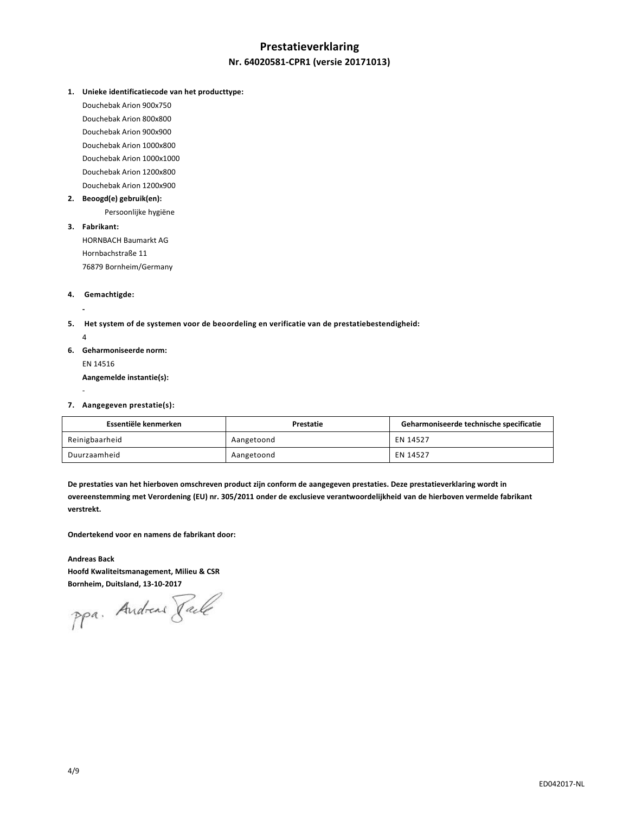# **Prestatieverklaring Nr. 64020581-CPR1 (versie 20171013)**

**1. Unieke identificatiecode van het producttype:**

Douchebak Arion 900x750 Douchebak Arion 800x800 Douchebak Arion 900x900 Douchebak Arion 1000x800 Douchebak Arion 1000x1000 Douchebak Arion 1200x800 Douchebak Arion 1200x900

**2. Beoogd(e) gebruik(en):**

Persoonlijke hygiëne

**3. Fabrikant:**

HORNBACH Baumarkt AG Hornbachstraße 11 76879 Bornheim/Germany

#### **4. Gemachtigde:**

- **5. Het system of de systemen voor de beoordeling en verificatie van de prestatiebestendigheid:** 
	- 4

-

**-**

- **6. Geharmoniseerde norm:** EN 14516 **Aangemelde instantie(s):**
- **7. Aangegeven prestatie(s):**

| Essentiële kenmerken | Prestatie  | Geharmoniseerde technische specificatie |
|----------------------|------------|-----------------------------------------|
| Reinigbaarheid       | Aangetoond | EN 14527                                |
| Duurzaamheid         | Aangetoond | EN 14527                                |

**De prestaties van het hierboven omschreven product zijn conform de aangegeven prestaties. Deze prestatieverklaring wordt in overeenstemming met Verordening (EU) nr. 305/2011 onder de exclusieve verantwoordelijkheid van de hierboven vermelde fabrikant verstrekt.**

**Ondertekend voor en namens de fabrikant door:**

# **Andreas Back**

**Hoofd Kwaliteitsmanagement, Milieu & CSR Bornheim, Duitsland, 13-10-2017**

ppa. Andreas Pale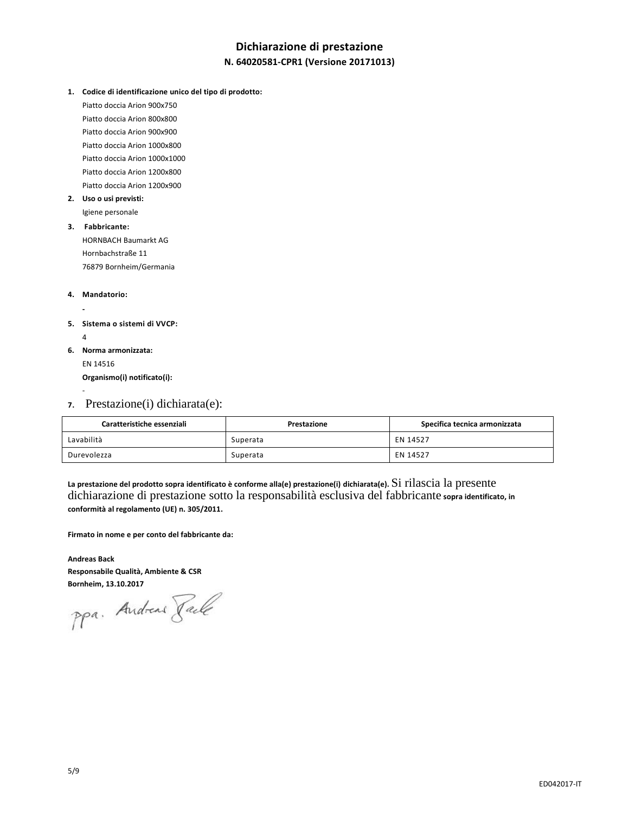# **Dichiarazione di prestazione N. 64020581-CPR1 (Versione 20171013)**

**1. Codice di identificazione unico del tipo di prodotto:**

Piatto doccia Arion 900x750 Piatto doccia Arion 800x800 Piatto doccia Arion 900x900 Piatto doccia Arion 1000x800 Piatto doccia Arion 1000x1000 Piatto doccia Arion 1200x800 Piatto doccia Arion 1200x900

- **2. Uso o usi previsti:** Igiene personale
- **3. Fabbricante:** HORNBACH Baumarkt AG Hornbachstraße 11 76879 Bornheim/Germania

#### **4. Mandatorio:**

**-**

-

- **5. Sistema o sistemi di VVCP:**  4
- **6. Norma armonizzata:** EN 14516 **Organismo(i) notificato(i):**
- **7.** Prestazione(i) dichiarata(e):

| Caratteristiche essenziali | Prestazione | Specifica tecnica armonizzata |
|----------------------------|-------------|-------------------------------|
| Lavabilità                 | Superata    | EN 14527                      |
| Durevolezza                | Superata    | EN 14527                      |

**La prestazione del prodotto sopra identificato è conforme alla(e) prestazione(i) dichiarata(e).** Si rilascia la presente dichiarazione di prestazione sotto la responsabilità esclusiva del fabbricante **sopra identificato, in conformità al regolamento (UE) n. 305/2011.**

**Firmato in nome e per conto del fabbricante da:**

**Andreas Back Responsabile Qualità, Ambiente & CSR**

Bornheim, 13.10.2017<br>PPa. Andread *Jale*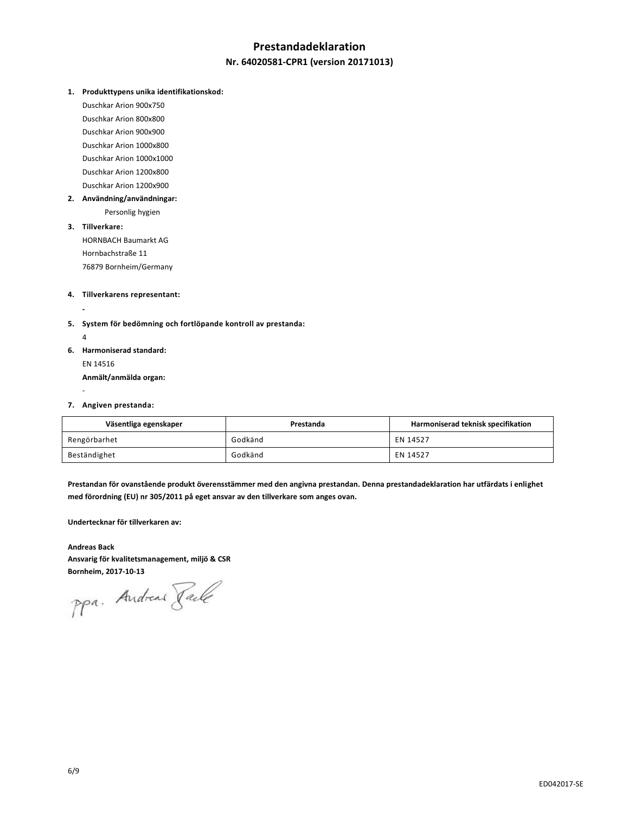# **Prestandadeklaration**

## **Nr. 64020581-CPR1 (version 20171013)**

**1. Produkttypens unika identifikationskod:**

Duschkar Arion 900x750 Duschkar Arion 800x800 Duschkar Arion 900x900 Duschkar Arion 1000x800 Duschkar Arion 1000x1000 Duschkar Arion 1200x800 Duschkar Arion 1200x900

**2. Användning/användningar:**

Personlig hygien

**3. Tillverkare:** HORNBACH Baumarkt AG Hornbachstraße 11 76879 Bornheim/Germany

#### **4. Tillverkarens representant:**

**-**

-

- **5. System för bedömning och fortlöpande kontroll av prestanda:** 4
- **6. Harmoniserad standard:** EN 14516 **Anmält/anmälda organ:**
- **7. Angiven prestanda:**

| Väsentliga egenskaper | Prestanda | Harmoniserad teknisk specifikation |
|-----------------------|-----------|------------------------------------|
| Rengörbarhet          | Godkänd   | EN 14527                           |
| Beständighet          | Godkänd   | EN 14527                           |

**Prestandan för ovanstående produkt överensstämmer med den angivna prestandan. Denna prestandadeklaration har utfärdats i enlighet med förordning (EU) nr 305/2011 på eget ansvar av den tillverkare som anges ovan.**

**Undertecknar för tillverkaren av:**

**Andreas Back Ansvarig för kvalitetsmanagement, miljö & CSR**

**Bornheim, 2017-10-13**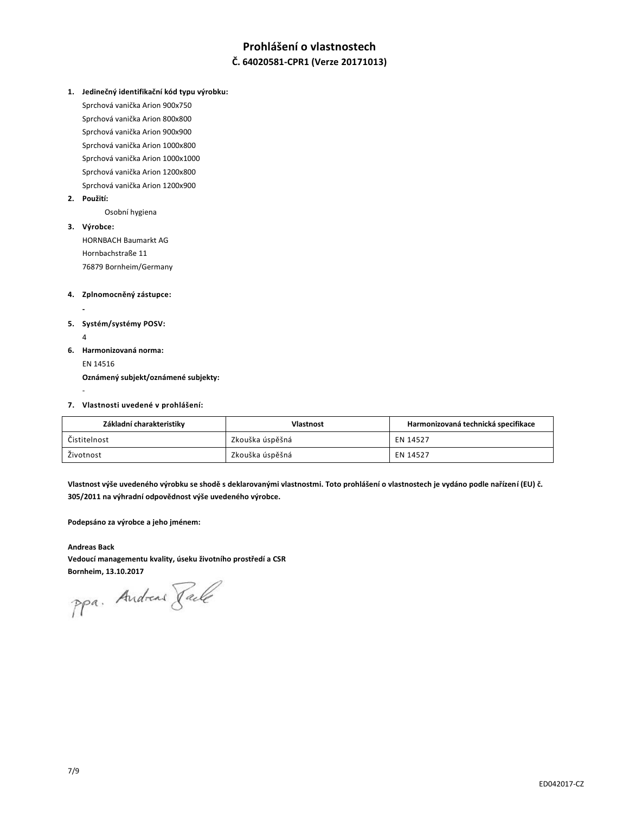# **Prohlášení o vlastnostech Č. 64020581-CPR1 (Verze 20171013)**

**1. Jedinečný identifikační kód typu výrobku:**

Sprchová vanička Arion 900x750 Sprchová vanička Arion 800x800 Sprchová vanička Arion 900x900 Sprchová vanička Arion 1000x800 Sprchová vanička Arion 1000x1000 Sprchová vanička Arion 1200x800 Sprchová vanička Arion 1200x900

**2. Použití:**

Osobní hygiena

**3. Výrobce:**

**-**

-

HORNBACH Baumarkt AG Hornbachstraße 11 76879 Bornheim/Germany

- **4. Zplnomocněný zástupce:**
- **5. Systém/systémy POSV:** 4
- **6. Harmonizovaná norma:** EN 14516 **Oznámený subjekt/oznámené subjekty:**
- **7. Vlastnosti uvedené v prohlášení:**

| Základní charakteristiky | <b>Vlastnost</b> | Harmonizovaná technická specifikace |
|--------------------------|------------------|-------------------------------------|
| Čistitelnost             | Zkouška úspěšná  | EN 14527                            |
| Životnost                | Zkouška úspěšná  | EN 14527                            |

**Vlastnost výše uvedeného výrobku se shodě s deklarovanými vlastnostmi. Toto prohlášení o vlastnostech je vydáno podle nařízení (EU) č. 305/2011 na výhradní odpovědnost výše uvedeného výrobce.**

**Podepsáno za výrobce a jeho jménem:**

**Andreas Back Vedoucí managementu kvality, úseku životního prostředí a CSR**

Bornheim, 13.10.2017<br>PPa. Andreas *Jale*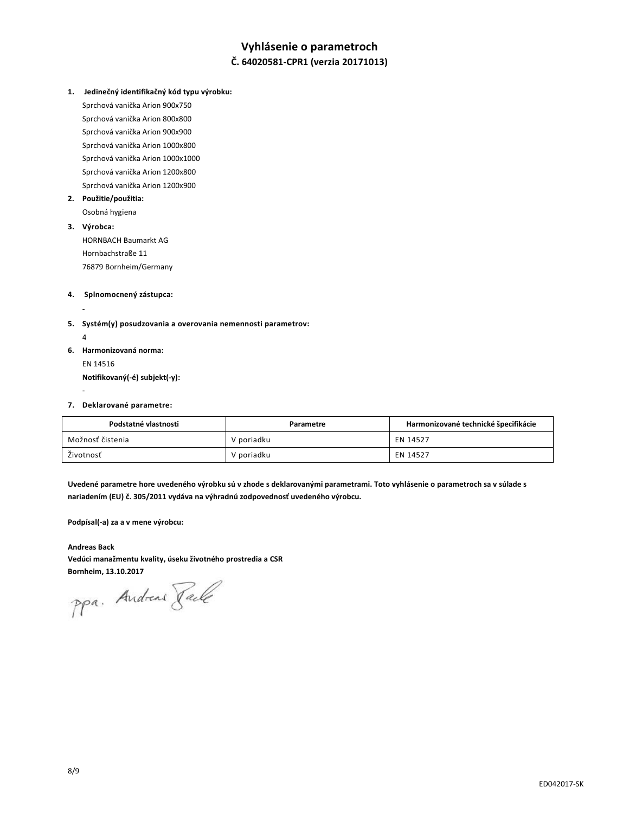# **Vyhlásenie o parametroch**

# **Č. 64020581-CPR1 (verzia 20171013)**

**1. Jedinečný identifikačný kód typu výrobku:** 

Sprchová vanička Arion 900x750 Sprchová vanička Arion 800x800 Sprchová vanička Arion 900x900 Sprchová vanička Arion 1000x800 Sprchová vanička Arion 1000x1000 Sprchová vanička Arion 1200x800 Sprchová vanička Arion 1200x900

**2. Použitie/použitia:** 

Osobná hygiena

## **3. Výrobca:**

HORNBACH Baumarkt AG Hornbachstraße 11 76879 Bornheim/Germany

#### **4. Splnomocnený zástupca:**

- **5. Systém(y) posudzovania a overovania nemennosti parametrov:** 
	- 4

-

**-**

**6. Harmonizovaná norma:** EN 14516 **Notifikovaný(-é) subjekt(-y):**

#### **7. Deklarované parametre:**

| Podstatné vlastnosti | Parametre  | Harmonizované technické špecifikácie |
|----------------------|------------|--------------------------------------|
| Možnosť čistenia     | V poriadku | EN 14527                             |
| Životnosť            | V poriadku | EN 14527                             |

**Uvedené parametre hore uvedeného výrobku sú v zhode s deklarovanými parametrami. Toto vyhlásenie o parametroch sa v súlade s nariadením (EU) č. 305/2011 vydáva na výhradnú zodpovednosť uvedeného výrobcu.**

**Podpísal(-a) za a v mene výrobcu:**

**Andreas Back Vedúci manažmentu kvality, úseku životného prostredia a CSR**

Bornheim, 13.10.2017<br>PPa. Andreas *Jale*